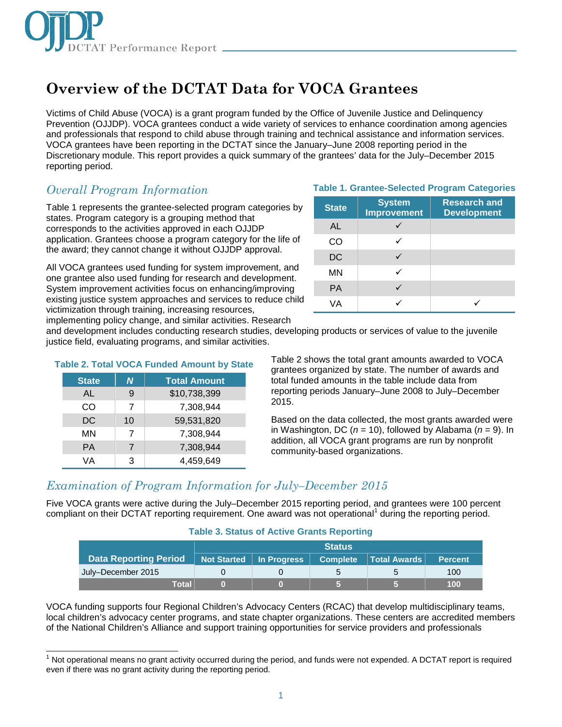

# **Overview of the DCTAT Data for VOCA Grantees**

Victims of Child Abuse (VOCA) is a grant program funded by the Office of Juvenile Justice and Delinquency Prevention (OJJDP). VOCA grantees conduct a wide variety of services to enhance coordination among agencies and professionals that respond to child abuse through training and technical assistance and information services. VOCA grantees have been reporting in the DCTAT since the January–June 2008 reporting period in the Discretionary module. This report provides a quick summary of the grantees' data for the July–December 2015 reporting period.

## *Overall Program Information*

Table 1 represents the grantee-selected program categories by states. Program category is a grouping method that corresponds to the activities approved in each OJJDP application. Grantees choose a program category for the life of the award; they cannot change it without OJJDP approval.

All VOCA grantees used funding for system improvement, and one grantee also used funding for research and development. System improvement activities focus on enhancing/improving existing justice system approaches and services to reduce child victimization through training, increasing resources, implementing policy change, and similar activities. Research

#### **Table 1. Grantee-Selected Program Categories**

| <b>State</b> | <b>System</b><br><b>Improvement</b> | <b>Research and</b><br><b>Development</b> |
|--------------|-------------------------------------|-------------------------------------------|
| AL           |                                     |                                           |
| CO           |                                     |                                           |
| <b>DC</b>    |                                     |                                           |
| <b>MN</b>    |                                     |                                           |
| <b>PA</b>    |                                     |                                           |
| VА           |                                     |                                           |

and development includes conducting research studies, developing products or services of value to the juvenile justice field, evaluating programs, and similar activities.

| <b>Table 2. Total VOCA Funded Amount by State</b> |              |    |                     |  |
|---------------------------------------------------|--------------|----|---------------------|--|
|                                                   | <b>State</b> | N  | <b>Total Amount</b> |  |
|                                                   | AL           | 9  | \$10,738,399        |  |
|                                                   | <b>CO</b>    | 7  | 7,308,944           |  |
|                                                   | <b>DC</b>    | 10 | 59,531,820          |  |
|                                                   | <b>MN</b>    | 7  | 7,308,944           |  |
|                                                   | <b>PA</b>    |    | 7,308,944           |  |
|                                                   | VА           | 3  | 4,459,649           |  |

Table 2 shows the total grant amounts awarded to VOCA grantees organized by state. The number of awards and total funded amounts in the table include data from reporting periods January–June 2008 to July–December 2015.

Based on the data collected, the most grants awarded were in Washington, DC ( $n = 10$ ), followed by Alabama ( $n = 9$ ). In addition, all VOCA grant programs are run by nonprofit community-based organizations.

### *Examination of Program Information for July–December 2015*

Five VOCA grants were active during the July–December 2015 reporting period, and grantees were 100 percent compliant on their DCTAT reporting requirement. One award was not operational<sup>1</sup> during the reporting period.

#### **Table 3. Status of Active Grants Reporting**

|                              | <b>Status</b>             |  |                 |              |                |
|------------------------------|---------------------------|--|-----------------|--------------|----------------|
| <b>Data Reporting Period</b> | Not Started   In Progress |  | <b>Complete</b> | Total Awards | <b>Percent</b> |
| July-December 2015           |                           |  | b               |              | 100            |
| Total                        |                           |  |                 |              | 100            |

VOCA funding supports four Regional Children's Advocacy Centers (RCAC) that develop multidisciplinary teams, local children's advocacy center programs, and state chapter organizations. These centers are accredited members of the National Children's Alliance and support training opportunities for service providers and professionals

j Not operational means no grant activity occurred during the period, and funds were not expended. A DCTAT report is required even if there was no grant activity during the reporting period.